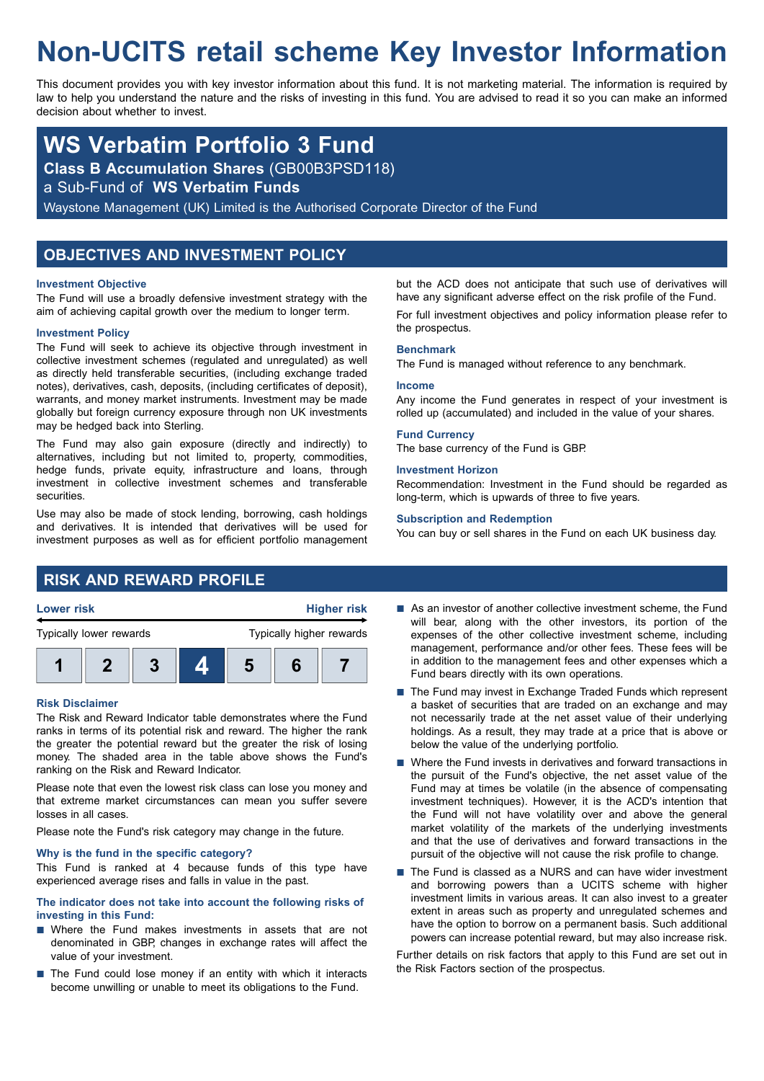# **Non-UCITS retail scheme Key Investor Information**

This document provides you with key investor information about this fund. It is not marketing material. The information is required by law to help you understand the nature and the risks of investing in this fund. You are advised to read it so you can make an informed decision about whether to invest.

## **WS Verbatim Portfolio 3 Fund**

**Class B Accumulation Shares** (GB00B3PSD118)

a Sub-Fund of **WS Verbatim Funds**

Waystone Management (UK) Limited is the Authorised Corporate Director of the Fund

## **OBJECTIVES AND INVESTMENT POLICY**

#### **Investment Objective**

The Fund will use a broadly defensive investment strategy with the aim of achieving capital growth over the medium to longer term.

#### **Investment Policy**

The Fund will seek to achieve its objective through investment in collective investment schemes (regulated and unregulated) as well as directly held transferable securities, (including exchange traded notes), derivatives, cash, deposits, (including certificates of deposit), warrants, and money market instruments. Investment may be made globally but foreign currency exposure through non UK investments may be hedged back into Sterling.

The Fund may also gain exposure (directly and indirectly) to alternatives, including but not limited to, property, commodities, hedge funds, private equity, infrastructure and loans, through investment in collective investment schemes and transferable securities.

Use may also be made of stock lending, borrowing, cash holdings and derivatives. It is intended that derivatives will be used for investment purposes as well as for efficient portfolio management but the ACD does not anticipate that such use of derivatives will have any significant adverse effect on the risk profile of the Fund. For full investment objectives and policy information please refer to the prospectus.

#### **Benchmark**

The Fund is managed without reference to any benchmark.

#### **Income**

Any income the Fund generates in respect of your investment is rolled up (accumulated) and included in the value of your shares.

#### **Fund Currency**

The base currency of the Fund is GBP.

#### **Investment Horizon**

Recommendation: Investment in the Fund should be regarded as long-term, which is upwards of three to five years.

#### **Subscription and Redemption**

You can buy or sell shares in the Fund on each UK business day.

## **RISK AND REWARD PROFILE**



**1 2 3 4 5 6 7**

#### **Risk Disclaimer**

The Risk and Reward Indicator table demonstrates where the Fund ranks in terms of its potential risk and reward. The higher the rank the greater the potential reward but the greater the risk of losing money. The shaded area in the table above shows the Fund's ranking on the Risk and Reward Indicator.

Please note that even the lowest risk class can lose you money and that extreme market circumstances can mean you suffer severe losses in all cases.

Please note the Fund's risk category may change in the future.

#### **Why is the fund in the specific category?**

This Fund is ranked at 4 because funds of this type have experienced average rises and falls in value in the past.

#### **The indicator does not take into account the following risks of investing in this Fund:**

- $\blacksquare$  Where the Fund makes investments in assets that are not denominated in GBP, changes in exchange rates will affect the value of your investment.
- $\blacksquare$  The Fund could lose money if an entity with which it interacts become unwilling or unable to meet its obligations to the Fund.
- $\blacksquare$  As an investor of another collective investment scheme, the Fund will bear, along with the other investors, its portion of the expenses of the other collective investment scheme, including management, performance and/or other fees. These fees will be in addition to the management fees and other expenses which a Fund bears directly with its own operations.
- $\blacksquare$  The Fund may invest in Exchange Traded Funds which represent a basket of securities that are traded on an exchange and may not necessarily trade at the net asset value of their underlying holdings. As a result, they may trade at a price that is above or below the value of the underlying portfolio.
- $\blacksquare$  Where the Fund invests in derivatives and forward transactions in the pursuit of the Fund's objective, the net asset value of the Fund may at times be volatile (in the absence of compensating investment techniques). However, it is the ACD's intention that the Fund will not have volatility over and above the general market volatility of the markets of the underlying investments and that the use of derivatives and forward transactions in the pursuit of the objective will not cause the risk profile to change.
- The Fund is classed as a NURS and can have wider investment and borrowing powers than a UCITS scheme with higher investment limits in various areas. It can also invest to a greater extent in areas such as property and unregulated schemes and have the option to borrow on a permanent basis. Such additional powers can increase potential reward, but may also increase risk.

Further details on risk factors that apply to this Fund are set out in the Risk Factors section of the prospectus.